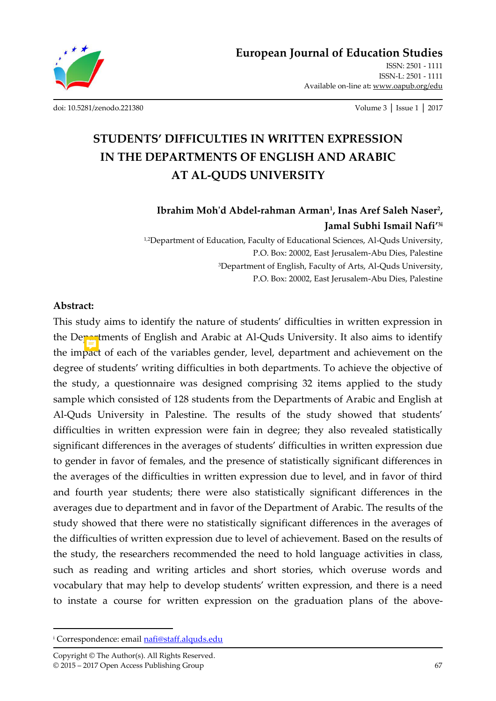

[ISSN: 2501 - 1111](http://oapub.org/edu/index.php/ejes)  [ISSN-L: 2501 - 1111](http://oapub.org/edu/index.php/ejes)  Available on-line at**:** [www.oapub.org/edu](http://www.oapub.org/edu)

[doi: 10.5281/zenodo.221380](http://dx.doi.org/10.5281/zenodo.221380) Volume 3 │ Issue 1 │ 2017

# **STUDENTS' DIFFICULTIES IN WRITTEN EXPRESSION IN THE DEPARTMENTS OF ENGLISH AND ARABIC AT AL-QUDS UNIVERSITY**

### **Ibrahim Moh'd Abdel-rahman Arman<sup>1</sup> , Inas Aref Saleh Naser<sup>2</sup> , Jamal Subhi Ismail Nafi'3i**

<sup>1,2</sup>Department of Education, Faculty of Educational Sciences, Al-Quds University, P.O. Box: 20002, East Jerusalem-Abu Dies, Palestine <sup>3</sup>Department of English, Faculty of Arts, Al-Quds University, P.O. Box: 20002, East Jerusalem-Abu Dies, Palestine

#### **Abstract:**

 $\overline{a}$ 

This study aims to identify the nature of students' difficulties in written expression in the Departments of English and Arabic at Al-Quds University. It also aims to identify the impact of each of the variables gender, level, department and achievement on the degree of students' writing difficulties in both departments. To achieve the objective of the study, a questionnaire was designed comprising 32 items applied to the study sample which consisted of 128 students from the Departments of Arabic and English at Al-Quds University in Palestine. The results of the study showed that students' difficulties in written expression were fain in degree; they also revealed statistically significant differences in the averages of students' difficulties in written expression due to gender in favor of females, and the presence of statistically significant differences in the averages of the difficulties in written expression due to level, and in favor of third and fourth year students; there were also statistically significant differences in the averages due to department and in favor of the Department of Arabic. The results of the study showed that there were no statistically significant differences in the averages of the difficulties of written expression due to level of achievement. Based on the results of the study, the researchers recommended the need to hold language activities in class, such as reading and writing articles and short stories, which overuse words and vocabulary that may help to develop students' written expression, and there is a need to instate a course for written expression on the graduation plans of the above-

<sup>&</sup>lt;sup>i</sup> Correspondence: email <u>nafi@staff.alquds.edu</u>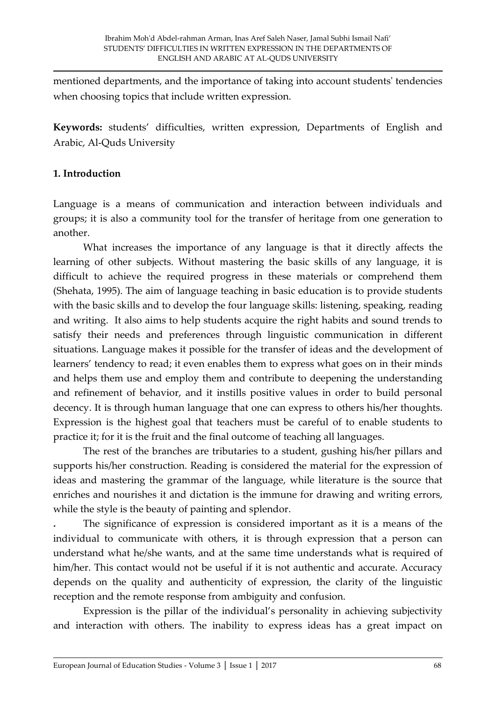mentioned departments, and the importance of taking into account students' tendencies when choosing topics that include written expression.

**Keywords:** students' difficulties, written expression, Departments of English and Arabic, Al-Quds University

### **1. Introduction**

Language is a means of communication and interaction between individuals and groups; it is also a community tool for the transfer of heritage from one generation to another.

 What increases the importance of any language is that it directly affects the learning of other subjects. Without mastering the basic skills of any language, it is difficult to achieve the required progress in these materials or comprehend them (Shehata, 1995). The aim of language teaching in basic education is to provide students with the basic skills and to develop the four language skills: listening, speaking, reading and writing. It also aims to help students acquire the right habits and sound trends to satisfy their needs and preferences through linguistic communication in different situations. Language makes it possible for the transfer of ideas and the development of learners' tendency to read; it even enables them to express what goes on in their minds and helps them use and employ them and contribute to deepening the understanding and refinement of behavior, and it instills positive values in order to build personal decency. It is through human language that one can express to others his/her thoughts. Expression is the highest goal that teachers must be careful of to enable students to practice it; for it is the fruit and the final outcome of teaching all languages.

 The rest of the branches are tributaries to a student, gushing his/her pillars and supports his/her construction. Reading is considered the material for the expression of ideas and mastering the grammar of the language, while literature is the source that enriches and nourishes it and dictation is the immune for drawing and writing errors, while the style is the beauty of painting and splendor.

**.** The significance of expression is considered important as it is a means of the individual to communicate with others, it is through expression that a person can understand what he/she wants, and at the same time understands what is required of him/her. This contact would not be useful if it is not authentic and accurate. Accuracy depends on the quality and authenticity of expression, the clarity of the linguistic reception and the remote response from ambiguity and confusion.

Expression is the pillar of the individual's personality in achieving subjectivity and interaction with others. The inability to express ideas has a great impact on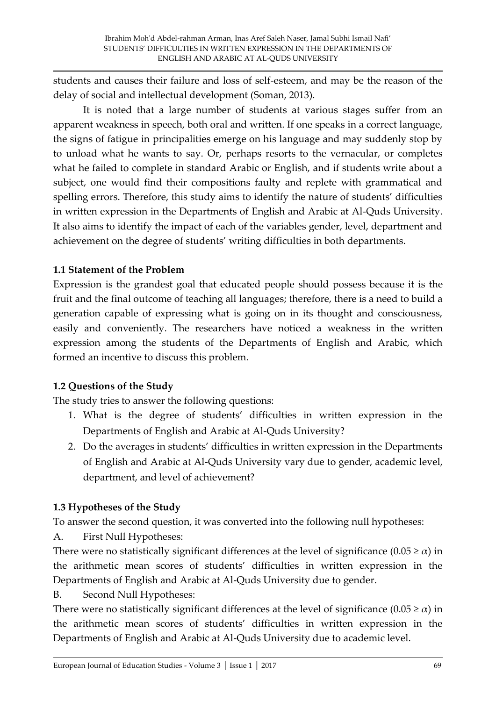students and causes their failure and loss of self-esteem, and may be the reason of the delay of social and intellectual development (Soman, 2013).

 It is noted that a large number of students at various stages suffer from an apparent weakness in speech, both oral and written. If one speaks in a correct language, the signs of fatigue in principalities emerge on his language and may suddenly stop by to unload what he wants to say. Or, perhaps resorts to the vernacular, or completes what he failed to complete in standard Arabic or English, and if students write about a subject, one would find their compositions faulty and replete with grammatical and spelling errors. Therefore, this study aims to identify the nature of students' difficulties in written expression in the Departments of English and Arabic at Al-Quds University. It also aims to identify the impact of each of the variables gender, level, department and achievement on the degree of students' writing difficulties in both departments.

### **1.1 Statement of the Problem**

Expression is the grandest goal that educated people should possess because it is the fruit and the final outcome of teaching all languages; therefore, there is a need to build a generation capable of expressing what is going on in its thought and consciousness, easily and conveniently. The researchers have noticed a weakness in the written expression among the students of the Departments of English and Arabic, which formed an incentive to discuss this problem.

### **1.2 Questions of the Study**

The study tries to answer the following questions:

- 1. What is the degree of students' difficulties in written expression in the Departments of English and Arabic at Al-Quds University?
- 2. Do the averages in students' difficulties in written expression in the Departments of English and Arabic at Al-Quds University vary due to gender, academic level, department, and level of achievement?

## **1.3 Hypotheses of the Study**

To answer the second question, it was converted into the following null hypotheses:

A. First Null Hypotheses:

There were no statistically significant differences at the level of significance  $(0.05 \ge \alpha)$  in the arithmetic mean scores of students' difficulties in written expression in the Departments of English and Arabic at Al-Quds University due to gender.

B. Second Null Hypotheses:

There were no statistically significant differences at the level of significance  $(0.05 \ge \alpha)$  in the arithmetic mean scores of students' difficulties in written expression in the Departments of English and Arabic at Al-Quds University due to academic level.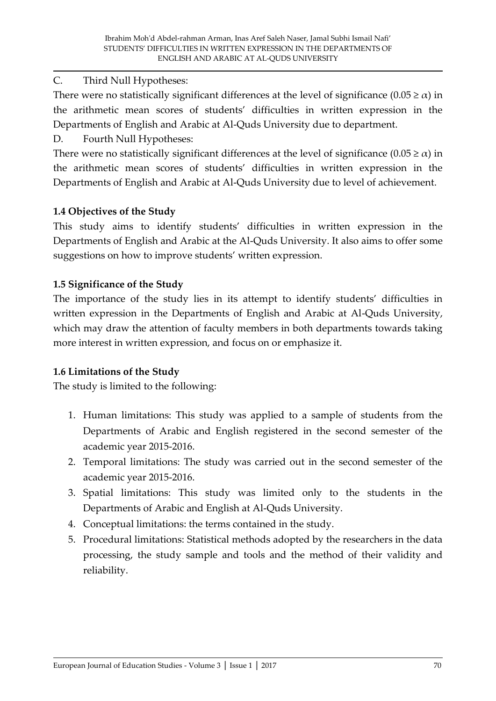### C. Third Null Hypotheses:

There were no statistically significant differences at the level of significance  $(0.05 \ge \alpha)$  in the arithmetic mean scores of students' difficulties in written expression in the Departments of English and Arabic at Al-Quds University due to department.

D. Fourth Null Hypotheses:

There were no statistically significant differences at the level of significance  $(0.05 \ge \alpha)$  in the arithmetic mean scores of students' difficulties in written expression in the Departments of English and Arabic at Al-Quds University due to level of achievement.

### **1.4 Objectives of the Study**

This study aims to identify students' difficulties in written expression in the Departments of English and Arabic at the Al-Quds University. It also aims to offer some suggestions on how to improve students' written expression.

### **1.5 Significance of the Study**

The importance of the study lies in its attempt to identify students' difficulties in written expression in the Departments of English and Arabic at Al-Quds University, which may draw the attention of faculty members in both departments towards taking more interest in written expression, and focus on or emphasize it.

### **1.6 Limitations of the Study**

The study is limited to the following:

- 1. Human limitations: This study was applied to a sample of students from the Departments of Arabic and English registered in the second semester of the academic year 2015-2016.
- 2. Temporal limitations: The study was carried out in the second semester of the academic year 2015-2016.
- 3. Spatial limitations: This study was limited only to the students in the Departments of Arabic and English at Al-Quds University.
- 4. Conceptual limitations: the terms contained in the study.
- 5. Procedural limitations: Statistical methods adopted by the researchers in the data processing, the study sample and tools and the method of their validity and reliability.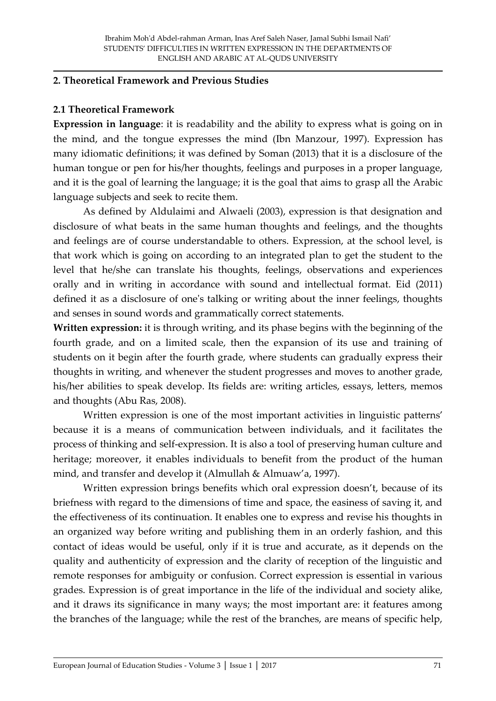#### **2. Theoretical Framework and Previous Studies**

### **2.1 Theoretical Framework**

**Expression in language**: it is readability and the ability to express what is going on in the mind, and the tongue expresses the mind (Ibn Manzour, 1997). Expression has many idiomatic definitions; it was defined by Soman (2013) that it is a disclosure of the human tongue or pen for his/her thoughts, feelings and purposes in a proper language, and it is the goal of learning the language; it is the goal that aims to grasp all the Arabic language subjects and seek to recite them.

As defined by Aldulaimi and Alwaeli (2003), expression is that designation and disclosure of what beats in the same human thoughts and feelings, and the thoughts and feelings are of course understandable to others. Expression, at the school level, is that work which is going on according to an integrated plan to get the student to the level that he/she can translate his thoughts, feelings, observations and experiences orally and in writing in accordance with sound and intellectual format. Eid (2011) defined it as a disclosure of one's talking or writing about the inner feelings, thoughts and senses in sound words and grammatically correct statements.

**Written expression:** it is through writing, and its phase begins with the beginning of the fourth grade, and on a limited scale, then the expansion of its use and training of students on it begin after the fourth grade, where students can gradually express their thoughts in writing, and whenever the student progresses and moves to another grade, his/her abilities to speak develop. Its fields are: writing articles, essays, letters, memos and thoughts (Abu Ras, 2008).

 Written expression is one of the most important activities in linguistic patterns' because it is a means of communication between individuals, and it facilitates the process of thinking and self-expression. It is also a tool of preserving human culture and heritage; moreover, it enables individuals to benefit from the product of the human mind, and transfer and develop it (Almullah & Almuaw'a, 1997).

Written expression brings benefits which oral expression doesn't, because of its briefness with regard to the dimensions of time and space, the easiness of saving it, and the effectiveness of its continuation. It enables one to express and revise his thoughts in an organized way before writing and publishing them in an orderly fashion, and this contact of ideas would be useful, only if it is true and accurate, as it depends on the quality and authenticity of expression and the clarity of reception of the linguistic and remote responses for ambiguity or confusion. Correct expression is essential in various grades. Expression is of great importance in the life of the individual and society alike, and it draws its significance in many ways; the most important are: it features among the branches of the language; while the rest of the branches, are means of specific help,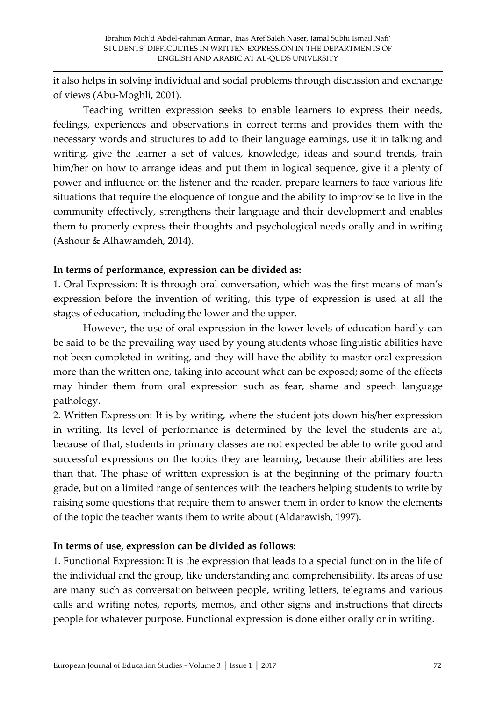it also helps in solving individual and social problems through discussion and exchange of views (Abu-Moghli, 2001).

 Teaching written expression seeks to enable learners to express their needs, feelings, experiences and observations in correct terms and provides them with the necessary words and structures to add to their language earnings, use it in talking and writing, give the learner a set of values, knowledge, ideas and sound trends, train him/her on how to arrange ideas and put them in logical sequence, give it a plenty of power and influence on the listener and the reader, prepare learners to face various life situations that require the eloquence of tongue and the ability to improvise to live in the community effectively, strengthens their language and their development and enables them to properly express their thoughts and psychological needs orally and in writing (Ashour & Alhawamdeh, 2014).

### **In terms of performance, expression can be divided as:**

1. Oral Expression: It is through oral conversation, which was the first means of man's expression before the invention of writing, this type of expression is used at all the stages of education, including the lower and the upper.

 However, the use of oral expression in the lower levels of education hardly can be said to be the prevailing way used by young students whose linguistic abilities have not been completed in writing, and they will have the ability to master oral expression more than the written one, taking into account what can be exposed; some of the effects may hinder them from oral expression such as fear, shame and speech language pathology.

2. Written Expression: It is by writing, where the student jots down his/her expression in writing. Its level of performance is determined by the level the students are at, because of that, students in primary classes are not expected be able to write good and successful expressions on the topics they are learning, because their abilities are less than that. The phase of written expression is at the beginning of the primary fourth grade, but on a limited range of sentences with the teachers helping students to write by raising some questions that require them to answer them in order to know the elements of the topic the teacher wants them to write about (Aldarawish, 1997).

### **In terms of use, expression can be divided as follows:**

1. Functional Expression: It is the expression that leads to a special function in the life of the individual and the group, like understanding and comprehensibility. Its areas of use are many such as conversation between people, writing letters, telegrams and various calls and writing notes, reports, memos, and other signs and instructions that directs people for whatever purpose. Functional expression is done either orally or in writing.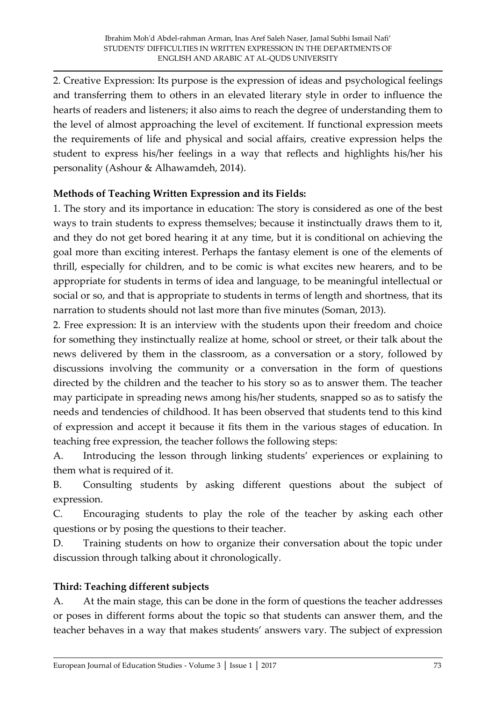2. Creative Expression: Its purpose is the expression of ideas and psychological feelings and transferring them to others in an elevated literary style in order to influence the hearts of readers and listeners; it also aims to reach the degree of understanding them to the level of almost approaching the level of excitement. If functional expression meets the requirements of life and physical and social affairs, creative expression helps the student to express his/her feelings in a way that reflects and highlights his/her his personality (Ashour & Alhawamdeh, 2014).

### **Methods of Teaching Written Expression and its Fields:**

1. The story and its importance in education: The story is considered as one of the best ways to train students to express themselves; because it instinctually draws them to it, and they do not get bored hearing it at any time, but it is conditional on achieving the goal more than exciting interest. Perhaps the fantasy element is one of the elements of thrill, especially for children, and to be comic is what excites new hearers, and to be appropriate for students in terms of idea and language, to be meaningful intellectual or social or so, and that is appropriate to students in terms of length and shortness, that its narration to students should not last more than five minutes (Soman, 2013).

2. Free expression: It is an interview with the students upon their freedom and choice for something they instinctually realize at home, school or street, or their talk about the news delivered by them in the classroom, as a conversation or a story, followed by discussions involving the community or a conversation in the form of questions directed by the children and the teacher to his story so as to answer them. The teacher may participate in spreading news among his/her students, snapped so as to satisfy the needs and tendencies of childhood. It has been observed that students tend to this kind of expression and accept it because it fits them in the various stages of education. In teaching free expression, the teacher follows the following steps:

A. Introducing the lesson through linking students' experiences or explaining to them what is required of it.

B. Consulting students by asking different questions about the subject of expression.

C. Encouraging students to play the role of the teacher by asking each other questions or by posing the questions to their teacher.

D. Training students on how to organize their conversation about the topic under discussion through talking about it chronologically.

### **Third: Teaching different subjects**

A. At the main stage, this can be done in the form of questions the teacher addresses or poses in different forms about the topic so that students can answer them, and the teacher behaves in a way that makes students' answers vary. The subject of expression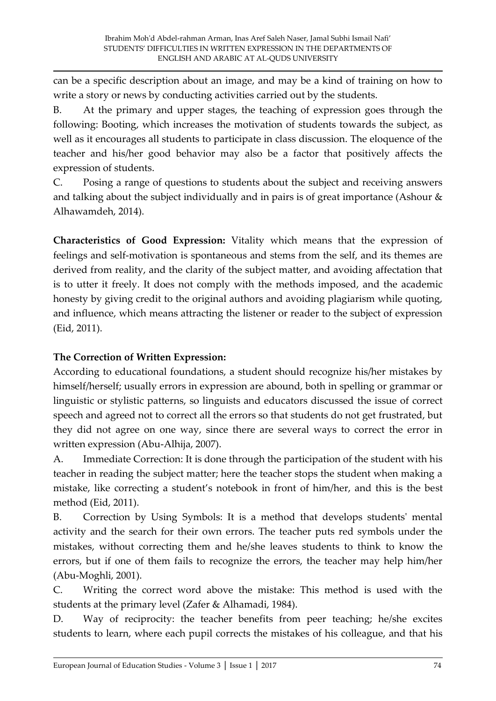can be a specific description about an image, and may be a kind of training on how to write a story or news by conducting activities carried out by the students.

B. At the primary and upper stages, the teaching of expression goes through the following: Booting, which increases the motivation of students towards the subject, as well as it encourages all students to participate in class discussion. The eloquence of the teacher and his/her good behavior may also be a factor that positively affects the expression of students.

C. Posing a range of questions to students about the subject and receiving answers and talking about the subject individually and in pairs is of great importance (Ashour & Alhawamdeh, 2014).

**Characteristics of Good Expression:** Vitality which means that the expression of feelings and self-motivation is spontaneous and stems from the self, and its themes are derived from reality, and the clarity of the subject matter, and avoiding affectation that is to utter it freely. It does not comply with the methods imposed, and the academic honesty by giving credit to the original authors and avoiding plagiarism while quoting, and influence, which means attracting the listener or reader to the subject of expression (Eid, 2011).

### **The Correction of Written Expression:**

According to educational foundations, a student should recognize his/her mistakes by himself/herself; usually errors in expression are abound, both in spelling or grammar or linguistic or stylistic patterns, so linguists and educators discussed the issue of correct speech and agreed not to correct all the errors so that students do not get frustrated, but they did not agree on one way, since there are several ways to correct the error in written expression (Abu-Alhija, 2007).

A. Immediate Correction: It is done through the participation of the student with his teacher in reading the subject matter; here the teacher stops the student when making a mistake, like correcting a student's notebook in front of him/her, and this is the best method (Eid, 2011).

B. Correction by Using Symbols: It is a method that develops students' mental activity and the search for their own errors. The teacher puts red symbols under the mistakes, without correcting them and he/she leaves students to think to know the errors, but if one of them fails to recognize the errors, the teacher may help him/her (Abu-Moghli, 2001).

C. Writing the correct word above the mistake: This method is used with the students at the primary level (Zafer & Alhamadi, 1984).

D. Way of reciprocity: the teacher benefits from peer teaching; he/she excites students to learn, where each pupil corrects the mistakes of his colleague, and that his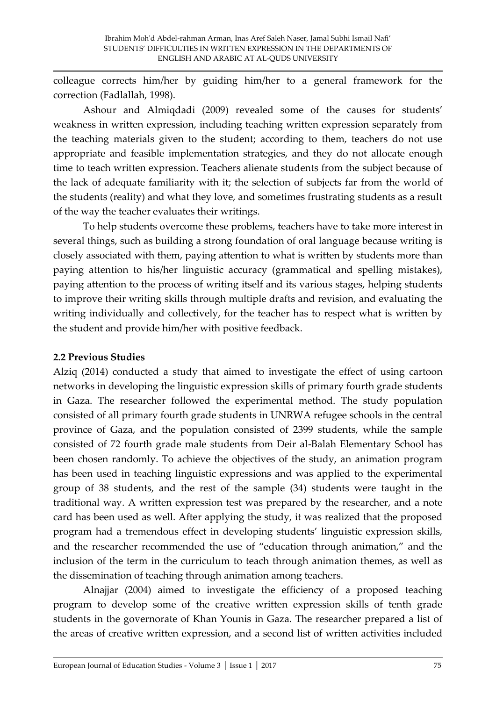colleague corrects him/her by guiding him/her to a general framework for the correction (Fadlallah, 1998).

Ashour and Almiqdadi (2009) revealed some of the causes for students' weakness in written expression, including teaching written expression separately from the teaching materials given to the student; according to them, teachers do not use appropriate and feasible implementation strategies, and they do not allocate enough time to teach written expression. Teachers alienate students from the subject because of the lack of adequate familiarity with it; the selection of subjects far from the world of the students (reality) and what they love, and sometimes frustrating students as a result of the way the teacher evaluates their writings.

 To help students overcome these problems, teachers have to take more interest in several things, such as building a strong foundation of oral language because writing is closely associated with them, paying attention to what is written by students more than paying attention to his/her linguistic accuracy (grammatical and spelling mistakes), paying attention to the process of writing itself and its various stages, helping students to improve their writing skills through multiple drafts and revision, and evaluating the writing individually and collectively, for the teacher has to respect what is written by the student and provide him/her with positive feedback.

### **2.2 Previous Studies**

Alziq (2014) conducted a study that aimed to investigate the effect of using cartoon networks in developing the linguistic expression skills of primary fourth grade students in Gaza. The researcher followed the experimental method. The study population consisted of all primary fourth grade students in UNRWA refugee schools in the central province of Gaza, and the population consisted of 2399 students, while the sample consisted of 72 fourth grade male students from Deir al-Balah Elementary School has been chosen randomly. To achieve the objectives of the study, an animation program has been used in teaching linguistic expressions and was applied to the experimental group of 38 students, and the rest of the sample (34) students were taught in the traditional way. A written expression test was prepared by the researcher, and a note card has been used as well. After applying the study, it was realized that the proposed program had a tremendous effect in developing students' linguistic expression skills, and the researcher recommended the use of "education through animation," and the inclusion of the term in the curriculum to teach through animation themes, as well as the dissemination of teaching through animation among teachers.

 Alnajjar (2004) aimed to investigate the efficiency of a proposed teaching program to develop some of the creative written expression skills of tenth grade students in the governorate of Khan Younis in Gaza. The researcher prepared a list of the areas of creative written expression, and a second list of written activities included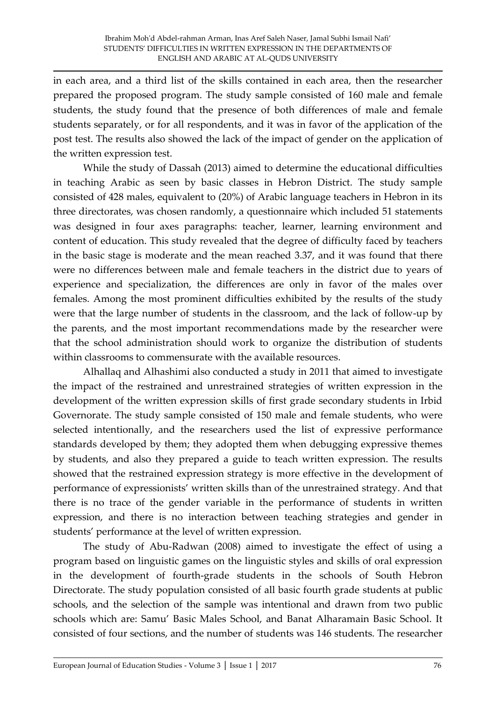in each area, and a third list of the skills contained in each area, then the researcher prepared the proposed program. The study sample consisted of 160 male and female students, the study found that the presence of both differences of male and female students separately, or for all respondents, and it was in favor of the application of the post test. The results also showed the lack of the impact of gender on the application of the written expression test.

 While the study of Dassah (2013) aimed to determine the educational difficulties in teaching Arabic as seen by basic classes in Hebron District. The study sample consisted of 428 males, equivalent to (20%) of Arabic language teachers in Hebron in its three directorates, was chosen randomly, a questionnaire which included 51 statements was designed in four axes paragraphs: teacher, learner, learning environment and content of education. This study revealed that the degree of difficulty faced by teachers in the basic stage is moderate and the mean reached 3.37, and it was found that there were no differences between male and female teachers in the district due to years of experience and specialization, the differences are only in favor of the males over females. Among the most prominent difficulties exhibited by the results of the study were that the large number of students in the classroom, and the lack of follow-up by the parents, and the most important recommendations made by the researcher were that the school administration should work to organize the distribution of students within classrooms to commensurate with the available resources.

 Alhallaq and Alhashimi also conducted a study in 2011 that aimed to investigate the impact of the restrained and unrestrained strategies of written expression in the development of the written expression skills of first grade secondary students in Irbid Governorate. The study sample consisted of 150 male and female students, who were selected intentionally, and the researchers used the list of expressive performance standards developed by them; they adopted them when debugging expressive themes by students, and also they prepared a guide to teach written expression. The results showed that the restrained expression strategy is more effective in the development of performance of expressionists' written skills than of the unrestrained strategy. And that there is no trace of the gender variable in the performance of students in written expression, and there is no interaction between teaching strategies and gender in students' performance at the level of written expression.

 The study of Abu-Radwan (2008) aimed to investigate the effect of using a program based on linguistic games on the linguistic styles and skills of oral expression in the development of fourth-grade students in the schools of South Hebron Directorate. The study population consisted of all basic fourth grade students at public schools, and the selection of the sample was intentional and drawn from two public schools which are: Samu' Basic Males School, and Banat Alharamain Basic School. It consisted of four sections, and the number of students was 146 students. The researcher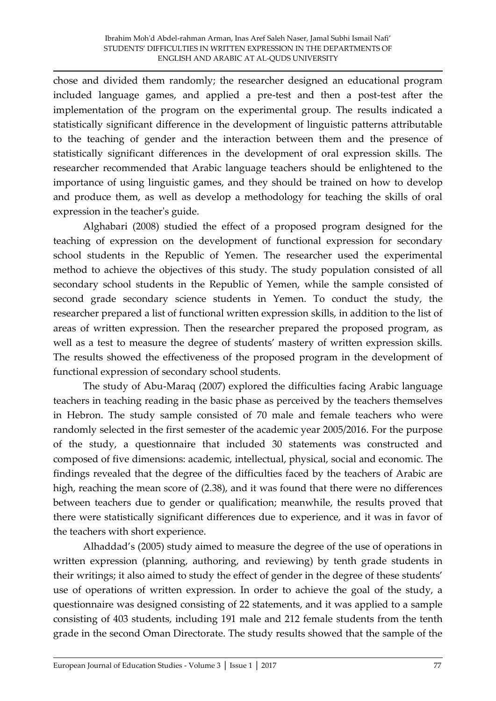chose and divided them randomly; the researcher designed an educational program included language games, and applied a pre-test and then a post-test after the implementation of the program on the experimental group. The results indicated a statistically significant difference in the development of linguistic patterns attributable to the teaching of gender and the interaction between them and the presence of statistically significant differences in the development of oral expression skills. The researcher recommended that Arabic language teachers should be enlightened to the importance of using linguistic games, and they should be trained on how to develop and produce them, as well as develop a methodology for teaching the skills of oral expression in the teacher's guide.

 Alghabari (2008) studied the effect of a proposed program designed for the teaching of expression on the development of functional expression for secondary school students in the Republic of Yemen. The researcher used the experimental method to achieve the objectives of this study. The study population consisted of all secondary school students in the Republic of Yemen, while the sample consisted of second grade secondary science students in Yemen. To conduct the study, the researcher prepared a list of functional written expression skills, in addition to the list of areas of written expression. Then the researcher prepared the proposed program, as well as a test to measure the degree of students' mastery of written expression skills. The results showed the effectiveness of the proposed program in the development of functional expression of secondary school students.

 The study of Abu-Maraq (2007) explored the difficulties facing Arabic language teachers in teaching reading in the basic phase as perceived by the teachers themselves in Hebron. The study sample consisted of 70 male and female teachers who were randomly selected in the first semester of the academic year 2005/2016. For the purpose of the study, a questionnaire that included 30 statements was constructed and composed of five dimensions: academic, intellectual, physical, social and economic. The findings revealed that the degree of the difficulties faced by the teachers of Arabic are high, reaching the mean score of (2.38), and it was found that there were no differences between teachers due to gender or qualification; meanwhile, the results proved that there were statistically significant differences due to experience, and it was in favor of the teachers with short experience.

Alhaddad's (2005) study aimed to measure the degree of the use of operations in written expression (planning, authoring, and reviewing) by tenth grade students in their writings; it also aimed to study the effect of gender in the degree of these students' use of operations of written expression. In order to achieve the goal of the study, a questionnaire was designed consisting of 22 statements, and it was applied to a sample consisting of 403 students, including 191 male and 212 female students from the tenth grade in the second Oman Directorate. The study results showed that the sample of the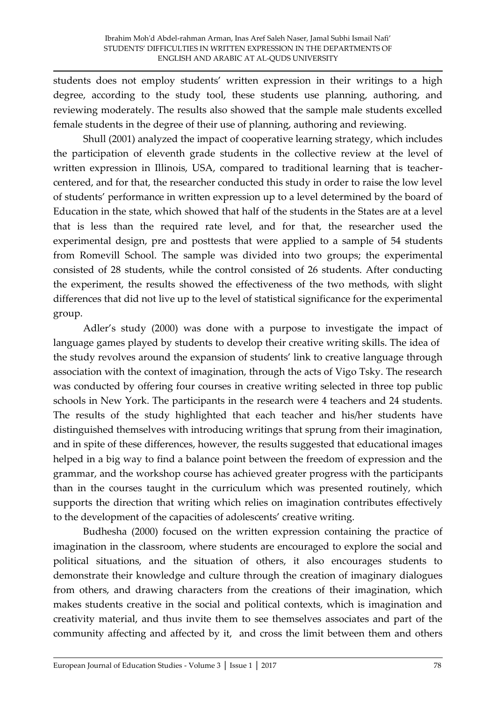students does not employ students' written expression in their writings to a high degree, according to the study tool, these students use planning, authoring, and reviewing moderately. The results also showed that the sample male students excelled female students in the degree of their use of planning, authoring and reviewing.

 Shull (2001) analyzed the impact of cooperative learning strategy, which includes the participation of eleventh grade students in the collective review at the level of written expression in Illinois, USA, compared to traditional learning that is teachercentered, and for that, the researcher conducted this study in order to raise the low level of students' performance in written expression up to a level determined by the board of Education in the state, which showed that half of the students in the States are at a level that is less than the required rate level, and for that, the researcher used the experimental design, pre and posttests that were applied to a sample of 54 students from Romevill School. The sample was divided into two groups; the experimental consisted of 28 students, while the control consisted of 26 students. After conducting the experiment, the results showed the effectiveness of the two methods, with slight differences that did not live up to the level of statistical significance for the experimental group.

Adler's study (2000) was done with a purpose to investigate the impact of language games played by students to develop their creative writing skills. The idea of the study revolves around the expansion of students' link to creative language through association with the context of imagination, through the acts of Vigo Tsky. The research was conducted by offering four courses in creative writing selected in three top public schools in New York. The participants in the research were 4 teachers and 24 students. The results of the study highlighted that each teacher and his/her students have distinguished themselves with introducing writings that sprung from their imagination, and in spite of these differences, however, the results suggested that educational images helped in a big way to find a balance point between the freedom of expression and the grammar, and the workshop course has achieved greater progress with the participants than in the courses taught in the curriculum which was presented routinely, which supports the direction that writing which relies on imagination contributes effectively to the development of the capacities of adolescents' creative writing.

 Budhesha (2000) focused on the written expression containing the practice of imagination in the classroom, where students are encouraged to explore the social and political situations, and the situation of others, it also encourages students to demonstrate their knowledge and culture through the creation of imaginary dialogues from others, and drawing characters from the creations of their imagination, which makes students creative in the social and political contexts, which is imagination and creativity material, and thus invite them to see themselves associates and part of the community affecting and affected by it, and cross the limit between them and others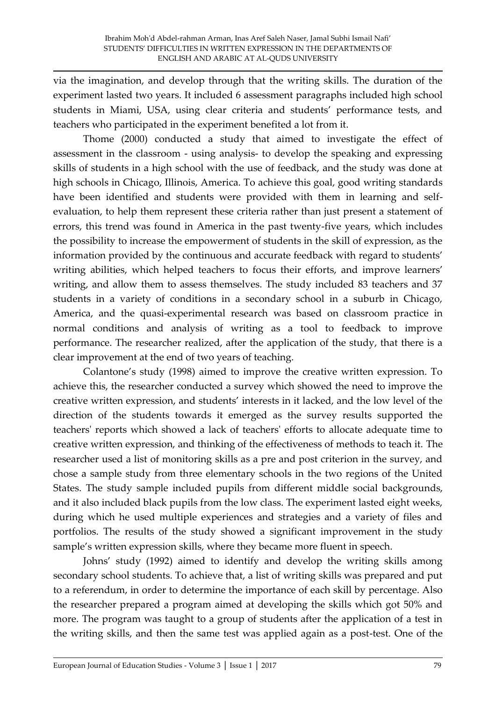via the imagination, and develop through that the writing skills. The duration of the experiment lasted two years. It included 6 assessment paragraphs included high school students in Miami, USA, using clear criteria and students' performance tests, and teachers who participated in the experiment benefited a lot from it.

 Thome (2000) conducted a study that aimed to investigate the effect of assessment in the classroom - using analysis- to develop the speaking and expressing skills of students in a high school with the use of feedback, and the study was done at high schools in Chicago, Illinois, America. To achieve this goal, good writing standards have been identified and students were provided with them in learning and selfevaluation, to help them represent these criteria rather than just present a statement of errors, this trend was found in America in the past twenty-five years, which includes the possibility to increase the empowerment of students in the skill of expression, as the information provided by the continuous and accurate feedback with regard to students' writing abilities, which helped teachers to focus their efforts, and improve learners' writing, and allow them to assess themselves. The study included 83 teachers and 37 students in a variety of conditions in a secondary school in a suburb in Chicago, America, and the quasi-experimental research was based on classroom practice in normal conditions and analysis of writing as a tool to feedback to improve performance. The researcher realized, after the application of the study, that there is a clear improvement at the end of two years of teaching.

Colantone's study (1998) aimed to improve the creative written expression. To achieve this, the researcher conducted a survey which showed the need to improve the creative written expression, and students' interests in it lacked, and the low level of the direction of the students towards it emerged as the survey results supported the teachers' reports which showed a lack of teachers' efforts to allocate adequate time to creative written expression, and thinking of the effectiveness of methods to teach it. The researcher used a list of monitoring skills as a pre and post criterion in the survey, and chose a sample study from three elementary schools in the two regions of the United States. The study sample included pupils from different middle social backgrounds, and it also included black pupils from the low class. The experiment lasted eight weeks, during which he used multiple experiences and strategies and a variety of files and portfolios. The results of the study showed a significant improvement in the study sample's written expression skills, where they became more fluent in speech.

Johns' study (1992) aimed to identify and develop the writing skills among secondary school students. To achieve that, a list of writing skills was prepared and put to a referendum, in order to determine the importance of each skill by percentage. Also the researcher prepared a program aimed at developing the skills which got 50% and more. The program was taught to a group of students after the application of a test in the writing skills, and then the same test was applied again as a post-test. One of the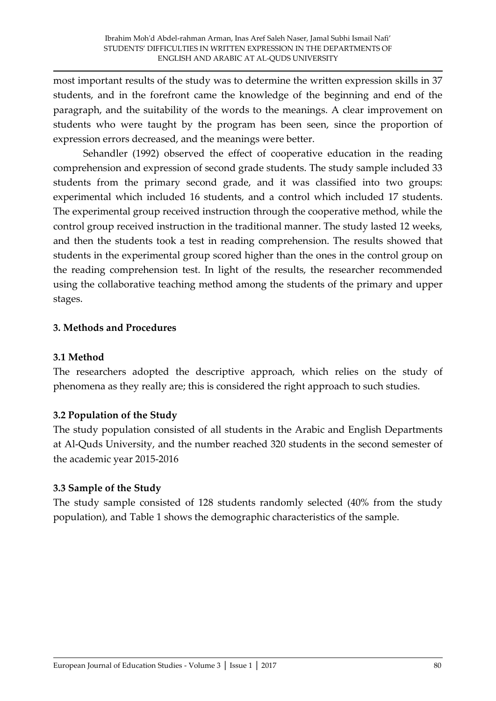most important results of the study was to determine the written expression skills in 37 students, and in the forefront came the knowledge of the beginning and end of the paragraph, and the suitability of the words to the meanings. A clear improvement on students who were taught by the program has been seen, since the proportion of expression errors decreased, and the meanings were better.

 Sehandler (1992) observed the effect of cooperative education in the reading comprehension and expression of second grade students. The study sample included 33 students from the primary second grade, and it was classified into two groups: experimental which included 16 students, and a control which included 17 students. The experimental group received instruction through the cooperative method, while the control group received instruction in the traditional manner. The study lasted 12 weeks, and then the students took a test in reading comprehension. The results showed that students in the experimental group scored higher than the ones in the control group on the reading comprehension test. In light of the results, the researcher recommended using the collaborative teaching method among the students of the primary and upper stages.

### **3. Methods and Procedures**

### **3.1 Method**

The researchers adopted the descriptive approach, which relies on the study of phenomena as they really are; this is considered the right approach to such studies.

### **3.2 Population of the Study**

The study population consisted of all students in the Arabic and English Departments at Al-Quds University, and the number reached 320 students in the second semester of the academic year 2015-2016

### **3.3 Sample of the Study**

The study sample consisted of 128 students randomly selected (40% from the study population), and Table 1 shows the demographic characteristics of the sample.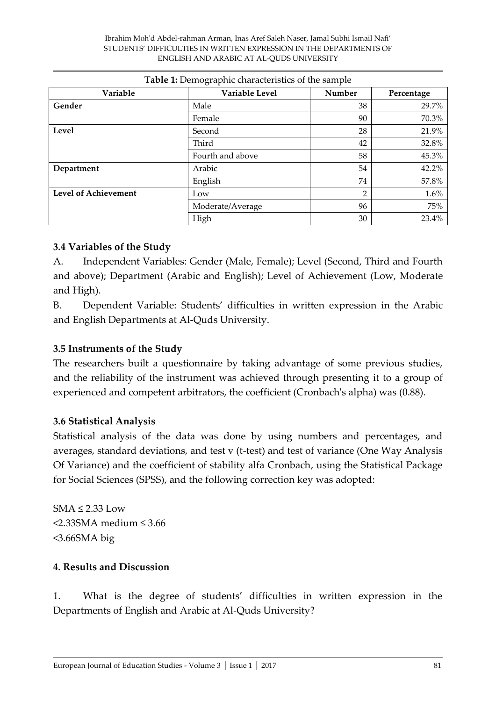| Variable                    | Variable Level   | Number         | Percentage |
|-----------------------------|------------------|----------------|------------|
| Gender                      | Male             | 38             | 29.7%      |
|                             | Female           | 90             | 70.3%      |
| Level                       | Second           | 28             | 21.9%      |
|                             | Third            | 42             | 32.8%      |
|                             | Fourth and above | 58             | 45.3%      |
| Department                  | Arabic           | 54             | 42.2%      |
|                             | English          | 74             | 57.8%      |
| <b>Level of Achievement</b> | Low              | $\overline{2}$ | 1.6%       |
|                             | Moderate/Average | 96             | 75%        |
|                             | High             | 30             | 23.4%      |

### **Table 1:** Demographic characteristics of the sample

#### **3.4 Variables of the Study**

A. Independent Variables: Gender (Male, Female); Level (Second, Third and Fourth and above); Department (Arabic and English); Level of Achievement (Low, Moderate and High).

B. Dependent Variable: Students' difficulties in written expression in the Arabic and English Departments at Al-Quds University.

### **3.5 Instruments of the Study**

The researchers built a questionnaire by taking advantage of some previous studies, and the reliability of the instrument was achieved through presenting it to a group of experienced and competent arbitrators, the coefficient (Cronbach's alpha) was (0.88).

### **3.6 Statistical Analysis**

Statistical analysis of the data was done by using numbers and percentages, and averages, standard deviations, and test v (t-test) and test of variance (One Way Analysis Of Variance) and the coefficient of stability alfa Cronbach, using the Statistical Package for Social Sciences (SPSS), and the following correction key was adopted:

 $SMA \leq 2.33$  Low  $\leq$ 2.33SMA medium  $\leq$ 3.66 <3.66SMA big

### **4. Results and Discussion**

1. What is the degree of students' difficulties in written expression in the Departments of English and Arabic at Al-Quds University?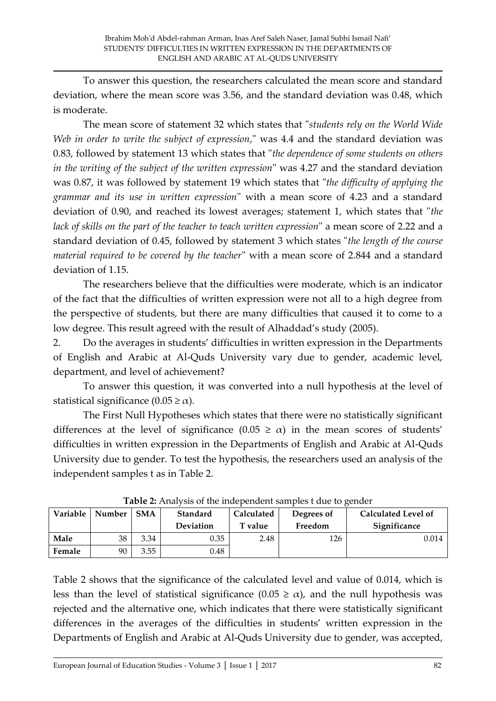To answer this question, the researchers calculated the mean score and standard deviation, where the mean score was 3.56, and the standard deviation was 0.48, which is moderate.

 The mean score of statement 32 which states that "*students rely on the World Wide Web in order to write the subject of expression*," was 4.4 and the standard deviation was 0.83, followed by statement 13 which states that "*the dependence of some students on others in the writing of the subject of the written expression*" was 4.27 and the standard deviation was 0.87, it was followed by statement 19 which states that "*the difficulty of applying the grammar and its use in written expression*" with a mean score of 4.23 and a standard deviation of 0.90, and reached its lowest averages; statement 1, which states that "*the lack of skills on the part of the teacher to teach written expression*" a mean score of 2.22 and a standard deviation of 0.45, followed by statement 3 which states "*the length of the course material required to be covered by the teacher*" with a mean score of 2.844 and a standard deviation of 1.15.

 The researchers believe that the difficulties were moderate, which is an indicator of the fact that the difficulties of written expression were not all to a high degree from the perspective of students, but there are many difficulties that caused it to come to a low degree. This result agreed with the result of Alhaddad's study (2005).

2. Do the averages in students' difficulties in written expression in the Departments of English and Arabic at Al-Quds University vary due to gender, academic level, department, and level of achievement?

 To answer this question, it was converted into a null hypothesis at the level of statistical significance  $(0.05 \ge \alpha)$ .

 The First Null Hypotheses which states that there were no statistically significant differences at the level of significance  $(0.05 \ge \alpha)$  in the mean scores of students' difficulties in written expression in the Departments of English and Arabic at Al-Quds University due to gender. To test the hypothesis, the researchers used an analysis of the independent samples t as in Table 2.

| <b>Tuble 2.</b> Think was of the macpenaem samples t and to genuer |        |            |                  |                |            |                            |  |  |
|--------------------------------------------------------------------|--------|------------|------------------|----------------|------------|----------------------------|--|--|
| Variable                                                           | Number | <b>SMA</b> | Standard         | Calculated     | Degrees of | <b>Calculated Level of</b> |  |  |
|                                                                    |        |            | <b>Deviation</b> | <b>T</b> value | Freedom    | Significance               |  |  |
| Male                                                               | 38     | 3.34       | 0.35             | 2.48           | 126        | 0.014                      |  |  |
| Female                                                             | 90     | 3.55       | 0.48             |                |            |                            |  |  |

**Table 2:** Analysis of the independent samples t due to gender

Table 2 shows that the significance of the calculated level and value of 0.014, which is less than the level of statistical significance  $(0.05 \ge \alpha)$ , and the null hypothesis was rejected and the alternative one, which indicates that there were statistically significant differences in the averages of the difficulties in students' written expression in the Departments of English and Arabic at Al-Quds University due to gender, was accepted,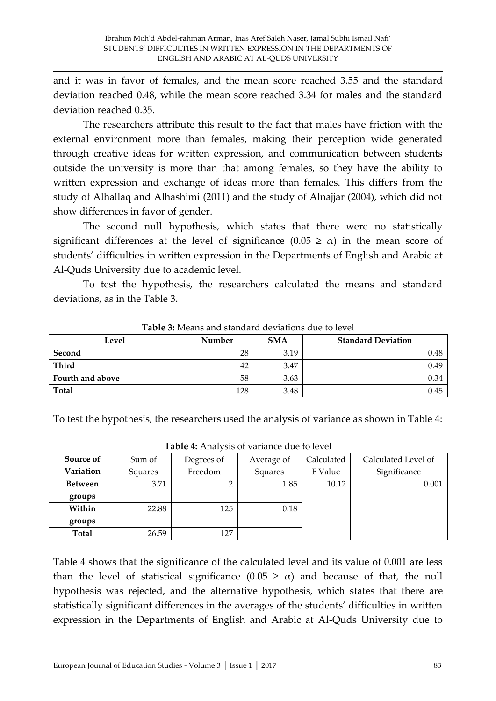and it was in favor of females, and the mean score reached 3.55 and the standard deviation reached 0.48, while the mean score reached 3.34 for males and the standard deviation reached 0.35.

The researchers attribute this result to the fact that males have friction with the external environment more than females, making their perception wide generated through creative ideas for written expression, and communication between students outside the university is more than that among females, so they have the ability to written expression and exchange of ideas more than females. This differs from the study of Alhallaq and Alhashimi (2011) and the study of Alnajjar (2004), which did not show differences in favor of gender.

 The second null hypothesis, which states that there were no statistically significant differences at the level of significance  $(0.05 \ge \alpha)$  in the mean score of students' difficulties in written expression in the Departments of English and Arabic at Al-Quds University due to academic level.

 To test the hypothesis, the researchers calculated the means and standard deviations, as in the Table 3.

| Level            | Number | <b>SMA</b> | <b>Standard Deviation</b> |
|------------------|--------|------------|---------------------------|
| Second           | 28     | 3.19       | 0.48                      |
| Third            | 42     | 3.47       | 0.49                      |
| Fourth and above | 58     | 3.63       | 0.34                      |
| <b>Total</b>     | 128    | 3.48       | 0.45                      |

**Table 3:** Means and standard deviations due to level

To test the hypothesis, the researchers used the analysis of variance as shown in Table 4:

| Source of      | Sum of  | Degrees of | Average of | Calculated | Calculated Level of |
|----------------|---------|------------|------------|------------|---------------------|
| Variation      | Squares | Freedom    | Squares    | F Value    | Significance        |
| <b>Between</b> | 3.71    |            | 1.85       | 10.12      | 0.001               |
| groups         |         |            |            |            |                     |
| Within         | 22.88   | 125        | 0.18       |            |                     |
| groups         |         |            |            |            |                     |
| <b>Total</b>   | 26.59   | 127        |            |            |                     |

**Table 4:** Analysis of variance due to level

Table 4 shows that the significance of the calculated level and its value of 0.001 are less than the level of statistical significance  $(0.05 \ge \alpha)$  and because of that, the null hypothesis was rejected, and the alternative hypothesis, which states that there are statistically significant differences in the averages of the students' difficulties in written expression in the Departments of English and Arabic at Al-Quds University due to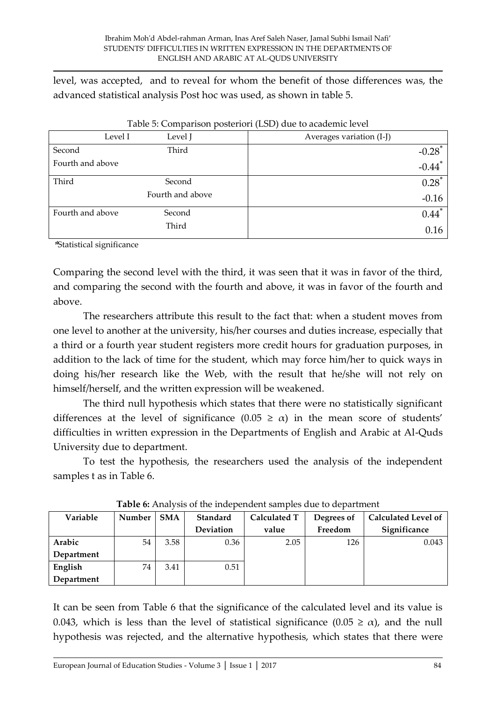level, was accepted, and to reveal for whom the benefit of those differences was, the advanced statistical analysis Post hoc was used, as shown in table 5.

| Level I          | Level J          | Averages variation (I-J) |
|------------------|------------------|--------------------------|
| Second           | Third            | $-0.28$ <sup>*</sup>     |
| Fourth and above |                  | $-0.44$ <sup>*</sup>     |
| Third            | Second           | $0.28*$                  |
|                  | Fourth and above | $-0.16$                  |
| Fourth and above | Second           | $0.44$ <sup>*</sup>      |
|                  | Third            | 0.16                     |

Table 5: Comparison posteriori (LSD) due to academic level

**\***Statistical significance

Comparing the second level with the third, it was seen that it was in favor of the third, and comparing the second with the fourth and above, it was in favor of the fourth and above.

 The researchers attribute this result to the fact that: when a student moves from one level to another at the university, his/her courses and duties increase, especially that a third or a fourth year student registers more credit hours for graduation purposes, in addition to the lack of time for the student, which may force him/her to quick ways in doing his/her research like the Web, with the result that he/she will not rely on himself/herself, and the written expression will be weakened.

 The third null hypothesis which states that there were no statistically significant differences at the level of significance  $(0.05 \ge \alpha)$  in the mean score of students' difficulties in written expression in the Departments of English and Arabic at Al-Quds University due to department.

 To test the hypothesis, the researchers used the analysis of the independent samples t as in Table 6.

| Variable   | Number | <b>SMA</b> | Standard         | Calculated T | Degrees of | <b>Calculated Level of</b> |  |
|------------|--------|------------|------------------|--------------|------------|----------------------------|--|
|            |        |            | <b>Deviation</b> | value        | Freedom    | Significance               |  |
| Arabic     | 54     | 3.58       | 0.36             | 2.05         | 126        | 0.043                      |  |
| Department |        |            |                  |              |            |                            |  |
| English    | 74     | 3.41       | 0.51             |              |            |                            |  |
| Department |        |            |                  |              |            |                            |  |

**Table 6:** Analysis of the independent samples due to department

It can be seen from Table 6 that the significance of the calculated level and its value is 0.043, which is less than the level of statistical significance (0.05  $\geq \alpha$ ), and the null hypothesis was rejected, and the alternative hypothesis, which states that there were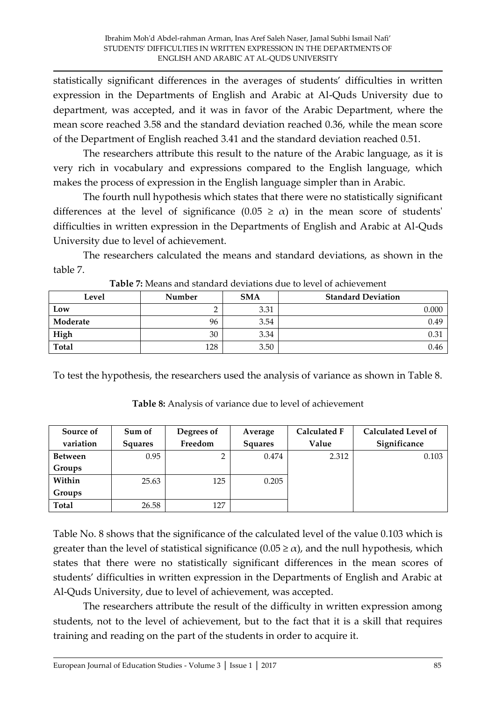statistically significant differences in the averages of students' difficulties in written expression in the Departments of English and Arabic at Al-Quds University due to department, was accepted, and it was in favor of the Arabic Department, where the mean score reached 3.58 and the standard deviation reached 0.36, while the mean score of the Department of English reached 3.41 and the standard deviation reached 0.51.

 The researchers attribute this result to the nature of the Arabic language, as it is very rich in vocabulary and expressions compared to the English language, which makes the process of expression in the English language simpler than in Arabic.

 The fourth null hypothesis which states that there were no statistically significant differences at the level of significance  $(0.05 \ge \alpha)$  in the mean score of students' difficulties in written expression in the Departments of English and Arabic at Al-Quds University due to level of achievement.

 The researchers calculated the means and standard deviations, as shown in the table 7.

| Level    | Number | <b>SMA</b> | <b>Standard Deviation</b> |
|----------|--------|------------|---------------------------|
| Low      |        | 3.31       | 0.000                     |
| Moderate | 96     | 3.54       | 0.49                      |
| High     | 30     | 3.34       | 0.31                      |
| Total    | 128    | 3.50       | 0.46                      |

**Table 7:** Means and standard deviations due to level of achievement

To test the hypothesis, the researchers used the analysis of variance as shown in Table 8.

| Source of      | Sum of         | Degrees of | Average        | <b>Calculated F</b> | <b>Calculated Level of</b> |
|----------------|----------------|------------|----------------|---------------------|----------------------------|
| variation      | <b>Squares</b> | Freedom    | <b>Squares</b> | Value               | Significance               |
| <b>Between</b> | 0.95           |            | 0.474          | 2.312               | 0.103                      |
| Groups         |                |            |                |                     |                            |
| Within         | 25.63          | 125        | 0.205          |                     |                            |
| Groups         |                |            |                |                     |                            |
| <b>Total</b>   | 26.58          | 127        |                |                     |                            |

**Table 8:** Analysis of variance due to level of achievement

Table No. 8 shows that the significance of the calculated level of the value 0.103 which is greater than the level of statistical significance  $(0.05 \ge \alpha)$ , and the null hypothesis, which states that there were no statistically significant differences in the mean scores of students' difficulties in written expression in the Departments of English and Arabic at Al-Quds University, due to level of achievement, was accepted.

 The researchers attribute the result of the difficulty in written expression among students, not to the level of achievement, but to the fact that it is a skill that requires training and reading on the part of the students in order to acquire it.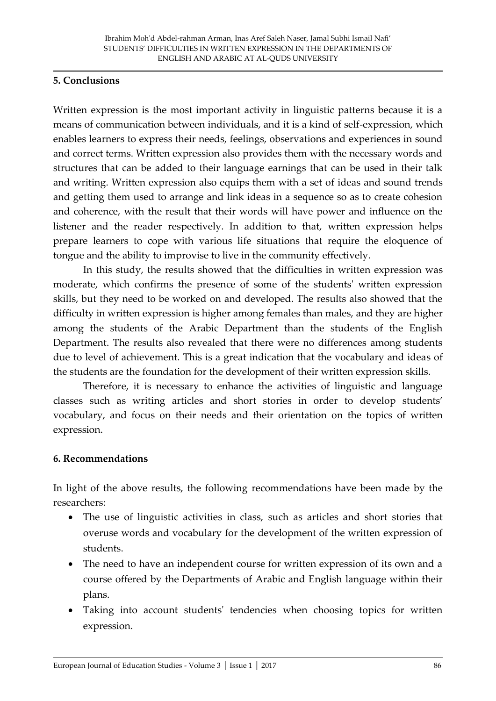### **5. Conclusions**

Written expression is the most important activity in linguistic patterns because it is a means of communication between individuals, and it is a kind of self-expression, which enables learners to express their needs, feelings, observations and experiences in sound and correct terms. Written expression also provides them with the necessary words and structures that can be added to their language earnings that can be used in their talk and writing. Written expression also equips them with a set of ideas and sound trends and getting them used to arrange and link ideas in a sequence so as to create cohesion and coherence, with the result that their words will have power and influence on the listener and the reader respectively. In addition to that, written expression helps prepare learners to cope with various life situations that require the eloquence of tongue and the ability to improvise to live in the community effectively.

 In this study, the results showed that the difficulties in written expression was moderate, which confirms the presence of some of the students' written expression skills, but they need to be worked on and developed. The results also showed that the difficulty in written expression is higher among females than males, and they are higher among the students of the Arabic Department than the students of the English Department. The results also revealed that there were no differences among students due to level of achievement. This is a great indication that the vocabulary and ideas of the students are the foundation for the development of their written expression skills.

 Therefore, it is necessary to enhance the activities of linguistic and language classes such as writing articles and short stories in order to develop students' vocabulary, and focus on their needs and their orientation on the topics of written expression.

### **6. Recommendations**

In light of the above results, the following recommendations have been made by the researchers:

- The use of linguistic activities in class, such as articles and short stories that overuse words and vocabulary for the development of the written expression of students.
- The need to have an independent course for written expression of its own and a course offered by the Departments of Arabic and English language within their plans.
- Taking into account students' tendencies when choosing topics for written expression.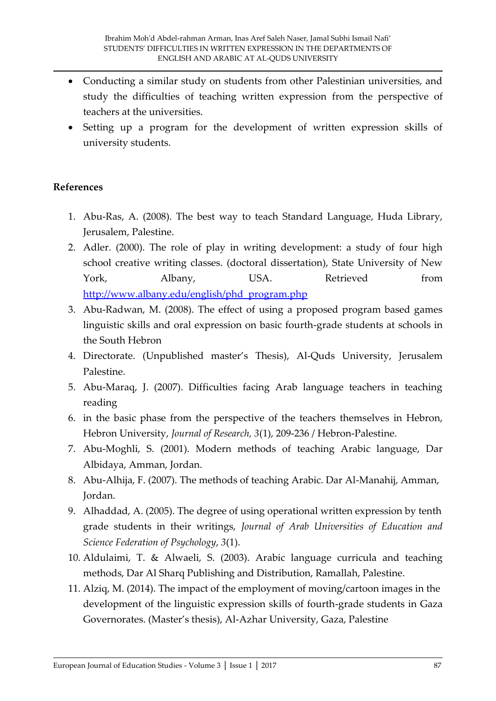- Conducting a similar study on students from other Palestinian universities, and study the difficulties of teaching written expression from the perspective of teachers at the universities.
- Setting up a program for the development of written expression skills of university students.

### **References**

- 1. Abu-Ras, A. (2008). The best way to teach Standard Language, Huda Library, Jerusalem, Palestine.
- 2. Adler. (2000). The role of play in writing development: a study of four high school creative writing classes. (doctoral dissertation), State University of New York, Albany, USA. Retrieved from [http://www.albany.edu/english/phd\\_program.php](http://www.albany.edu/english/phd_program.php)
- 3. Abu-Radwan, M. (2008). The effect of using a proposed program based games linguistic skills and oral expression on basic fourth-grade students at schools in the South Hebron
- 4. Directorate. (Unpublished master's Thesis), Al-Quds University, Jerusalem Palestine.
- 5. Abu-Maraq, J. (2007). Difficulties facing Arab language teachers in teaching reading
- 6. in the basic phase from the perspective of the teachers themselves in Hebron, Hebron University, *Journal of Research, 3*(1), 209-236 / Hebron-Palestine.
- 7. Abu-Moghli, S. (2001). Modern methods of teaching Arabic language, Dar Albidaya, Amman, Jordan.
- 8. Abu-Alhija, F. (2007). The methods of teaching Arabic. Dar Al-Manahij, Amman, Jordan.
- 9. Alhaddad, A. (2005). The degree of using operational written expression by tenth grade students in their writings, *Journal of Arab Universities of Education and Science Federation of Psychology*, *3*(1).
- 10. Aldulaimi, T. & Alwaeli, S. (2003). Arabic language curricula and teaching methods, Dar Al Sharq Publishing and Distribution, Ramallah, Palestine.
- 11. Alziq, M. (2014). The impact of the employment of moving/cartoon images in the development of the linguistic expression skills of fourth-grade students in Gaza Governorates. (Master's thesis), Al-Azhar University, Gaza, Palestine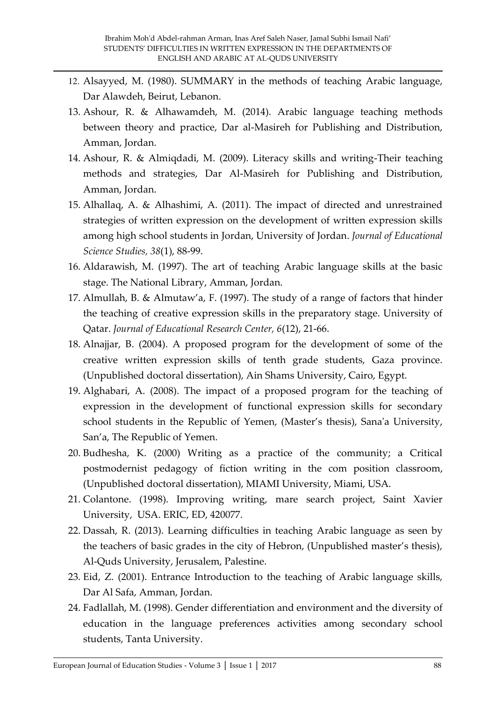- 12. Alsayyed, M. (1980). SUMMARY in the methods of teaching Arabic language, Dar Alawdeh, Beirut, Lebanon.
- 13. Ashour, R. & Alhawamdeh, M. (2014). Arabic language teaching methods between theory and practice, Dar al-Masireh for Publishing and Distribution, Amman, Jordan.
- 14. Ashour, R. & Almiqdadi, M. (2009). Literacy skills and writing-Their teaching methods and strategies, Dar Al-Masireh for Publishing and Distribution, Amman, Jordan.
- 15. Alhallaq, A. & Alhashimi, A. (2011). The impact of directed and unrestrained strategies of written expression on the development of written expression skills among high school students in Jordan, University of Jordan. *Journal of Educational Science Studies, 38*(1), 88-99.
- 16. Aldarawish, M. (1997). The art of teaching Arabic language skills at the basic stage. The National Library, Amman, Jordan.
- 17. Almullah, B. & Almutaw'a, F.  $(1997)$ . The study of a range of factors that hinder the teaching of creative expression skills in the preparatory stage. University of Qatar. *Journal of Educational Research Center, 6*(12), 21-66.
- 18. Alnajjar, B. (2004). A proposed program for the development of some of the creative written expression skills of tenth grade students, Gaza province. (Unpublished doctoral dissertation), Ain Shams University, Cairo, Egypt.
- 19. Alghabari, A. (2008). The impact of a proposed program for the teaching of expression in the development of functional expression skills for secondary school students in the Republic of Yemen, (Master's thesis), Sana'a University, San'a, The Republic of Yemen.
- 20. Budhesha, K. (2000) Writing as a practice of the community; a Critical postmodernist pedagogy of fiction writing in the com position classroom, (Unpublished doctoral dissertation), MIAMI University, Miami, USA.
- 21. Colantone. (1998). Improving writing, mare search project, Saint Xavier University, USA. ERIC, ED, 420077.
- 22. Dassah, R. (2013). Learning difficulties in teaching Arabic language as seen by the teachers of basic grades in the city of Hebron, (Unpublished master's thesis), Al-Quds University, Jerusalem, Palestine.
- 23. Eid, Z. (2001). Entrance Introduction to the teaching of Arabic language skills, Dar Al Safa, Amman, Jordan.
- 24. Fadlallah, M. (1998). Gender differentiation and environment and the diversity of education in the language preferences activities among secondary school students, Tanta University.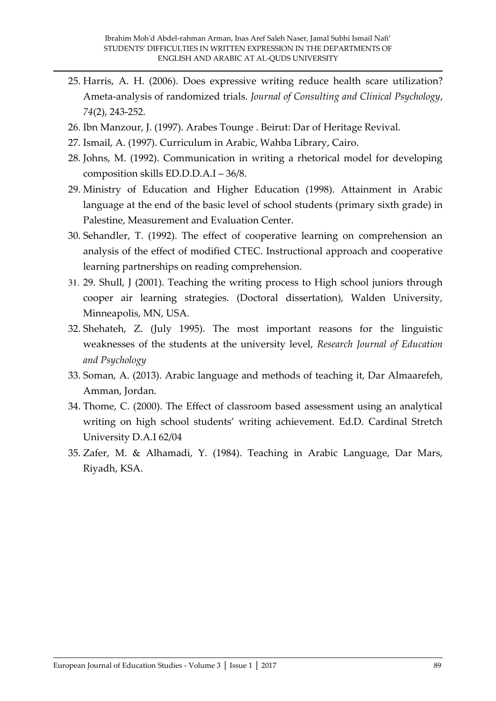- 25. Harris, A. H. (2006). Does expressive writing reduce health scare utilization? Ameta-analysis of randomized trials. *Journal of Consulting and Clinical Psychology*, *74*(2), 243-252.
- 26. Ibn Manzour, J. (1997). Arabes Tounge . Beirut: Dar of Heritage Revival.
- 27. Ismail, A. (1997). Curriculum in Arabic, Wahba Library, Cairo.
- 28. Johns, M. (1992). Communication in writing a rhetorical model for developing composition skills ED.D.D.A.I – 36/8.
- 29. Ministry of Education and Higher Education (1998). Attainment in Arabic language at the end of the basic level of school students (primary sixth grade) in Palestine, Measurement and Evaluation Center.
- 30. Sehandler, T. (1992). The effect of cooperative learning on comprehension an analysis of the effect of modified CTEC. Instructional approach and cooperative learning partnerships on reading comprehension.
- 31. 29. Shull, J (2001). Teaching the writing process to High school juniors through cooper air learning strategies. (Doctoral dissertation), Walden University, Minneapolis, MN, USA.
- 32. Shehateh, Z. (July 1995). The most important reasons for the linguistic weaknesses of the students at the university level, *Research Journal of Education and Psychology*
- 33. Soman, A. (2013). Arabic language and methods of teaching it, Dar Almaarefeh, Amman, Jordan.
- 34. Thome, C. (2000). The Effect of classroom based assessment using an analytical writing on high school students' writing achievement. Ed.D. Cardinal Stretch University D.A.I 62/04
- 35. Zafer, M. & Alhamadi, Y. (1984). Teaching in Arabic Language, Dar Mars, Riyadh, KSA.